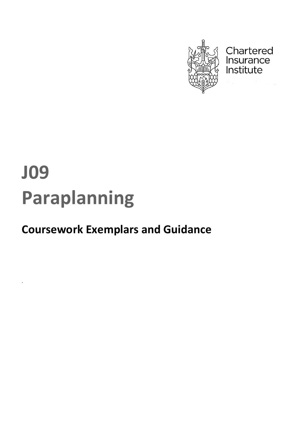

Chartered Insurance Institute

# **J09 Paraplanning**

*.*

## **Coursework Exemplars and Guidance**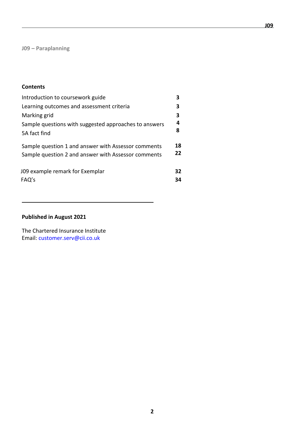**J09 – Paraplanning**

## **Contents**

| Introduction to coursework guide                      | 3  |
|-------------------------------------------------------|----|
| Learning outcomes and assessment criteria             | 3  |
| Marking grid                                          | 3  |
| Sample questions with suggested approaches to answers | 4  |
| 5A fact find                                          | 8  |
| Sample question 1 and answer with Assessor comments   | 18 |
| Sample question 2 and answer with Assessor comments   | 22 |
| J09 example remark for Exemplar                       | 32 |
| FAQ's                                                 | 34 |

## **Published in August 2021**

The Chartered Insurance Institute Email: [customer.serv@cii.co.uk](mailto:customer.serv@cii.co.uk)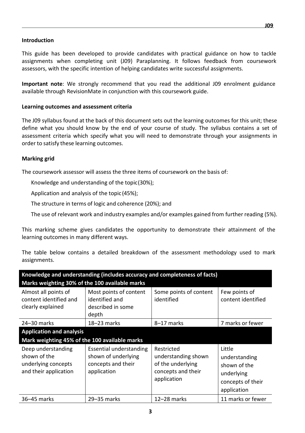#### **Introduction**

This guide has been developed to provide candidates with practical guidance on how to tackle assignments when completing unit (J09) Paraplanning. It follows feedback from coursework assessors, with the specific intention of helping candidates write successful assignments.

**Important note**: We strongly recommend that you read the additional J09 enrolment guidance available through RevisionMate in conjunction with this coursework guide.

#### **Learning outcomes and assessment criteria**

The J09 syllabus found at the back of this document sets out the learning outcomes for this unit; these define what you should know by the end of your course of study. The syllabus contains a set of assessment criteria which specify what you will need to demonstrate through your assignments in order to satisfy these learning outcomes.

#### **Marking grid**

The coursework assessor will assess the three items of coursework on the basis of:

Knowledge and understanding of the topic(30%);

Application and analysis of the topic (45%);

The structure in terms of logic and coherence (20%); and

The use of relevant work and industry examples and/or examples gained from further reading (5%).

This marking scheme gives candidates the opportunity to demonstrate their attainment of the learning outcomes in many different ways.

The table below contains a detailed breakdown of the assessment methodology used to mark assignments.

| Knowledge and understanding (includes accuracy and completeness of facts)          |                                                                                            |                                                                                             |                                                                                           |  |  |
|------------------------------------------------------------------------------------|--------------------------------------------------------------------------------------------|---------------------------------------------------------------------------------------------|-------------------------------------------------------------------------------------------|--|--|
| Marks weighting 30% of the 100 available marks                                     |                                                                                            |                                                                                             |                                                                                           |  |  |
| Almost all points of<br>content identified and<br>clearly explained                | Most points of content<br>identified and<br>described in some<br>depth                     | Some points of content<br>identified                                                        | Few points of<br>content identified                                                       |  |  |
| 24-30 marks                                                                        | $18 - 23$ marks                                                                            | 8-17 marks                                                                                  | 7 marks or fewer                                                                          |  |  |
| <b>Application and analysis</b>                                                    |                                                                                            |                                                                                             |                                                                                           |  |  |
| Mark weighting 45% of the 100 available marks                                      |                                                                                            |                                                                                             |                                                                                           |  |  |
| Deep understanding<br>shown of the<br>underlying concepts<br>and their application | <b>Essential understanding</b><br>shown of underlying<br>concepts and their<br>application | Restricted<br>understanding shown<br>of the underlying<br>concepts and their<br>application | Little<br>understanding<br>shown of the<br>underlying<br>concepts of their<br>application |  |  |
| 36-45 marks                                                                        | 29-35 marks                                                                                | $12-28$ marks                                                                               | 11 marks or fewer                                                                         |  |  |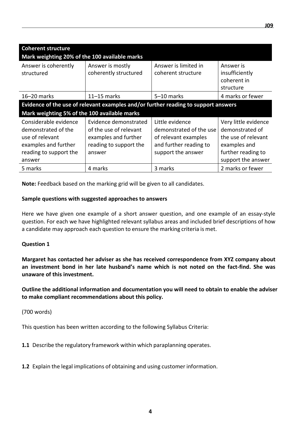| <b>Coherent structure</b><br>Mark weighting 20% of the 100 available marks                                                  |                                                                                                             |                                                                                                                    |                                                                                                                            |
|-----------------------------------------------------------------------------------------------------------------------------|-------------------------------------------------------------------------------------------------------------|--------------------------------------------------------------------------------------------------------------------|----------------------------------------------------------------------------------------------------------------------------|
| Answer is coherently<br>structured                                                                                          | Answer is mostly<br>coherently structured                                                                   | Answer is limited in<br>coherent structure                                                                         | Answer is<br>insufficiently<br>coherent in<br>structure                                                                    |
| $16 - 20$ marks                                                                                                             | $11-15$ marks                                                                                               | 5-10 marks                                                                                                         | 4 marks or fewer                                                                                                           |
|                                                                                                                             |                                                                                                             | Evidence of the use of relevant examples and/or further reading to support answers                                 |                                                                                                                            |
| Mark weighting 5% of the 100 available marks                                                                                |                                                                                                             |                                                                                                                    |                                                                                                                            |
| Considerable evidence<br>demonstrated of the<br>use of relevant<br>examples and further<br>reading to support the<br>answer | Evidence demonstrated<br>of the use of relevant<br>examples and further<br>reading to support the<br>answer | Little evidence<br>demonstrated of the use<br>of relevant examples<br>and further reading to<br>support the answer | Very little evidence<br>demonstrated of<br>the use of relevant<br>examples and<br>further reading to<br>support the answer |
| 5 marks                                                                                                                     | 4 marks                                                                                                     | 3 marks                                                                                                            | 2 marks or fewer                                                                                                           |

**Note:** Feedback based on the marking grid will be given to all candidates.

#### **Sample questions with suggested approaches to answers**

Here we have given one example of a short answer question, and one example of an essay-style question. For each we have highlighted relevant syllabus areas and included brief descriptions of how a candidate may approach each question to ensure the marking criteria is met.

#### **Question 1**

**Margaret has contacted her adviser as she has received correspondence from XYZ company about an investment bond in her late husband's name which is not noted on the fact-find. She was unaware of this investment.** 

**Outline the additional information and documentation you will need to obtain to enable the adviser to make compliant recommendations about this policy.** 

## (700 words)

This question has been written according to the following Syllabus Criteria:

- **1.1** Describe the regulatory framework within which paraplanning operates.
- **1.2** Explain the legal implications of obtaining and using customer information.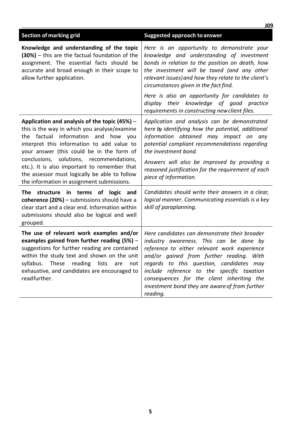|                                                                                                                                                                                                                                                                                                       | <b>JO9</b>                                                                                                                                                                                                                                                                                                                                                                                 |
|-------------------------------------------------------------------------------------------------------------------------------------------------------------------------------------------------------------------------------------------------------------------------------------------------------|--------------------------------------------------------------------------------------------------------------------------------------------------------------------------------------------------------------------------------------------------------------------------------------------------------------------------------------------------------------------------------------------|
| <b>Section of marking grid</b>                                                                                                                                                                                                                                                                        | <b>Suggested approach to answer</b>                                                                                                                                                                                                                                                                                                                                                        |
| Knowledge and understanding of the topic<br>(30%) - this are the factual foundation of the<br>assignment. The essential facts should be<br>accurate and broad enough in their scope to<br>allow further application.                                                                                  | Here is an opportunity to demonstrate your<br>knowledge and understanding of investment<br>bonds in relation to the position on death, how<br>the investment will be taxed (and any other<br>relevant issues) and how they relate to the client's<br>circumstances given in the fact find.                                                                                                 |
|                                                                                                                                                                                                                                                                                                       | Here is also an opportunity for candidates to<br>display their knowledge of good practice<br>requirements in constructing new client files.                                                                                                                                                                                                                                                |
| Application and analysis of the topic $(45%)$ -<br>this is the way in which you analyse/examine<br>the factual information and how you<br>interpret this information to add value to<br>your answer (this could be in the form of                                                                     | Application and analysis can be demonstrated<br>here by identifying how the potential, additional<br>information obtained may impact on any<br>potential compliant recommendations regarding<br>the investment bond.                                                                                                                                                                       |
| conclusions, solutions, recommendations,<br>etc.). It is also important to remember that<br>the assessor must logically be able to follow<br>the information in assignment submissions.                                                                                                               | Answers will also be improved by providing a<br>reasoned justification for the requirement of each<br>piece of information.                                                                                                                                                                                                                                                                |
| The structure in terms of logic and<br>coherence (20%) - submissions should have a<br>clear start and a clear end. Information within<br>submissions should also be logical and well<br>grouped.                                                                                                      | Candidates should write their answers in a clear,<br>logical manner. Communicating essentials is a key<br>skill of paraplanning.                                                                                                                                                                                                                                                           |
| The use of relevant work examples and/or<br>examples gained from further reading $(5%)$ -<br>suggestions for further reading are contained<br>within the study text and shown on the unit<br>syllabus. These reading lists are<br>not<br>exhaustive, and candidates are encouraged to<br>readfurther. | Here candidates can demonstrate their broader<br>industry awareness. This can be done by<br>reference to either relevant work experience<br>and/or gained from further reading. With<br>regards to this question, candidates may<br>include reference to the specific taxation<br>consequences for the client inheriting the<br>investment bond they are aware of from further<br>reading. |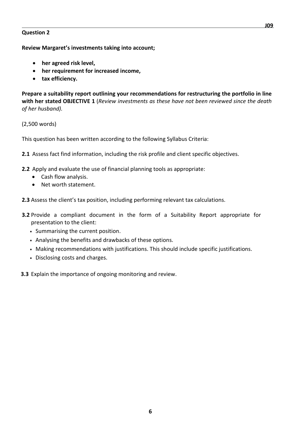#### **Question 2**

**Review Margaret's investments taking into account;**

- **her agreed risk level,**
- **her requirement for increased income,**
- **tax efficiency.**

**Prepare a suitability report outlining your recommendations for restructuring the portfolio in line with her stated OBJECTIVE 1** (*Review investments as these have not been reviewed since the death of her husband).*

(2,500 words)

This question has been written according to the following Syllabus Criteria:

- **2.1** Assess fact find information, including the risk profile and client specific objectives.
- **2.2** Apply and evaluate the use of financial planning tools as appropriate:
	- Cash flow analysis.
	- Net worth statement.
- **2.3** Assess the client's tax position, including performing relevant tax calculations.
- **3.2** Provide a compliant document in the form of a Suitability Report appropriate for presentation to the client:
	- **•** Summarising the current position.
	- **•** Analysing the benefits and drawbacks of these options.
	- **•** Making recommendations with justifications. This should include specific justifications.
	- **•** Disclosing costs and charges.
- **3.3** Explain the importance of ongoing monitoring and review.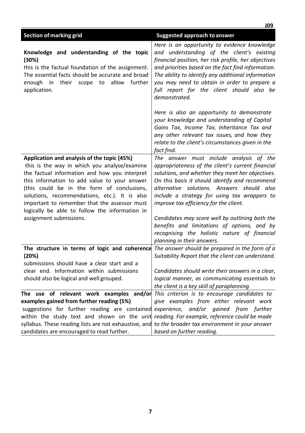|                                                                                                                                                                                                                                                                                                                                                                                                                                 | <b>JO9</b>                                                                                                                                                                                                                                                                                                                                                                                                                                                                                                                 |
|---------------------------------------------------------------------------------------------------------------------------------------------------------------------------------------------------------------------------------------------------------------------------------------------------------------------------------------------------------------------------------------------------------------------------------|----------------------------------------------------------------------------------------------------------------------------------------------------------------------------------------------------------------------------------------------------------------------------------------------------------------------------------------------------------------------------------------------------------------------------------------------------------------------------------------------------------------------------|
| <b>Section of marking grid</b>                                                                                                                                                                                                                                                                                                                                                                                                  | <b>Suggested approach to answer</b>                                                                                                                                                                                                                                                                                                                                                                                                                                                                                        |
| Knowledge and understanding of the topic<br>(30%)<br>this is the factual foundation of the assignment.<br>The essential facts should be accurate and broad<br>allow<br>further<br>enough<br>in their scope to<br>application.                                                                                                                                                                                                   | Here is an opportunity to evidence knowledge<br>and understanding of the client's existing<br>financial position, her risk profile, her objectives<br>and priorities based on the fact find information.<br>The ability to identify any additional information<br>you may need to obtain in order to prepare a<br>full report for the client should also be<br>demonstrated.                                                                                                                                               |
|                                                                                                                                                                                                                                                                                                                                                                                                                                 | Here is also an opportunity to demonstrate<br>your knowledge and understanding of Capital<br>Gains Tax, Income Tax, Inheritance Tax and<br>any other relevant tax issues, and how they<br>relate to the client's circumstances given in the<br>fact find.                                                                                                                                                                                                                                                                  |
| Application and analysis of the topic (45%)<br>this is the way in which you analyse/examine<br>the factual information and how you interpret<br>this information to add value to your answer<br>(this could be in the form of conclusions,<br>solutions, recommendations, etc.). It is also<br>important to remember that the assessor must<br>logically be able to follow the information in<br>assignment submissions.        | The answer must include analysis of the<br>appropriateness of the client's current financial<br>solutions, and whether they meet her objectives.<br>On this basis it should identify and recommend<br>alternative solutions. Answers should also<br>include a strategy for using tax wrappers to<br>improve tax efficiency for the client.<br>Candidates may score well by outlining both the<br>benefits and limitations of options, and by<br>recognising the holistic nature of financial<br>planning in their answers. |
| The structure in terms of logic and coherence The answer should be prepared in the form of a<br>(20%)<br>submissions should have a clear start and a<br>clear end. Information within submissions<br>should also be logical and well grouped.                                                                                                                                                                                   | Suitability Report that the client can understand.<br>Candidates should write their answers in a clear,<br>logical manner, as communicating essentials to<br>the client is a key skill of paraplanning.                                                                                                                                                                                                                                                                                                                    |
| The use of relevant work examples and/or<br>examples gained from further reading (5%)<br>suggestions for further reading are contained experience, and/or gained from further<br>within the study text and shown on the unit reading. For example, reference could be made<br>syllabus. These reading lists are not exhaustive, and to the broader tax environment in your answer<br>candidates are encouraged to read further. | This criterion is to encourage candidates to<br>give examples from either relevant work<br>based on further reading.                                                                                                                                                                                                                                                                                                                                                                                                       |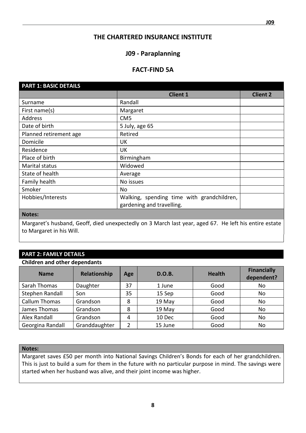## **THE CHARTERED INSURANCE INSTITUTE**

## **J09 - Paraplanning**

## **FACT-FIND 5A**

| <b>PART 1: BASIC DETAILS</b> |                                            |                 |
|------------------------------|--------------------------------------------|-----------------|
|                              | <b>Client 1</b>                            | <b>Client 2</b> |
| Surname                      | Randall                                    |                 |
| First name(s)                | Margaret                                   |                 |
| Address                      | CM <sub>5</sub>                            |                 |
| Date of birth                | 5 July, age 65                             |                 |
| Planned retirement age       | Retired                                    |                 |
| Domicile                     | <b>UK</b>                                  |                 |
| Residence                    | UK                                         |                 |
| Place of birth               | Birmingham                                 |                 |
| Marital status               | Widowed                                    |                 |
| State of health              | Average                                    |                 |
| Family health                | No issues                                  |                 |
| Smoker                       | No                                         |                 |
| Hobbies/Interests            | Walking, spending time with grandchildren, |                 |
|                              | gardening and travelling.                  |                 |

#### **Notes:**

Margaret's husband, Geoff, died unexpectedly on 3 March last year, aged 67. He left his entire estate to Margaret in his Will.

## **PART 2: FAMILY DETAILS**

#### **Children and other dependants**

| <b>Name</b>          | Relationship  | Age            | <b>D.O.B.</b> | <b>Health</b> | <b>Financially</b><br>dependent? |
|----------------------|---------------|----------------|---------------|---------------|----------------------------------|
| Sarah Thomas         | Daughter      | 37             | 1 June        | Good          | No                               |
| Stephen Randall      | Son           | 35             | 15 Sep        | Good          | No                               |
| <b>Callum Thomas</b> | Grandson      | 8              | 19 May        | Good          | No                               |
| James Thomas         | Grandson      | 8              | 19 May        | Good          | No                               |
| Alex Randall         | Grandson      | $\overline{4}$ | 10 Dec        | Good          | No                               |
| Georgina Randall     | Granddaughter | っ              | 15 June       | Good          | No                               |

#### **Notes:**

Margaret saves £50 per month into National Savings Children's Bonds for each of her grandchildren. This is just to build a sum for them in the future with no particular purpose in mind. The savings were started when her husband was alive, and their joint income was higher.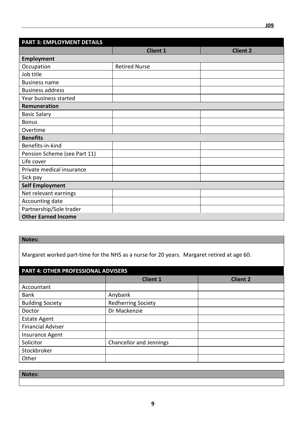| <b>PART 3: EMPLOYMENT DETAILS</b> |                      |                 |
|-----------------------------------|----------------------|-----------------|
|                                   | <b>Client 1</b>      | <b>Client 2</b> |
| <b>Employment</b>                 |                      |                 |
| Occupation                        | <b>Retired Nurse</b> |                 |
| Job title                         |                      |                 |
| <b>Business name</b>              |                      |                 |
| <b>Business address</b>           |                      |                 |
| Year business started             |                      |                 |
| Remuneration                      |                      |                 |
| <b>Basic Salary</b>               |                      |                 |
| <b>Bonus</b>                      |                      |                 |
| Overtime                          |                      |                 |
| <b>Benefits</b>                   |                      |                 |
| Benefits-in-kind                  |                      |                 |
| Pension Scheme (see Part 11)      |                      |                 |
| Life cover                        |                      |                 |
| Private medical insurance         |                      |                 |
| Sick pay                          |                      |                 |
| <b>Self Employment</b>            |                      |                 |
| Net relevant earnings             |                      |                 |
| Accounting date                   |                      |                 |
| Partnership/Sole trader           |                      |                 |
| <b>Other Earned Income</b>        |                      |                 |

## **Notes:**

Margaret worked part-time for the NHS as a nurse for 20 years. Margaret retired at age 60.

| <b>PART 4: OTHER PROFESSIONAL ADVISERS</b> |                           |                 |  |  |  |
|--------------------------------------------|---------------------------|-----------------|--|--|--|
|                                            | <b>Client 1</b>           | <b>Client 2</b> |  |  |  |
| Accountant                                 |                           |                 |  |  |  |
| <b>Bank</b>                                | Anybank                   |                 |  |  |  |
| <b>Building Society</b>                    | <b>Redherring Society</b> |                 |  |  |  |
| Doctor                                     | Dr Mackenzie              |                 |  |  |  |
| <b>Estate Agent</b>                        |                           |                 |  |  |  |
| <b>Financial Adviser</b>                   |                           |                 |  |  |  |
| Insurance Agent                            |                           |                 |  |  |  |
| Solicitor                                  | Chancellor and Jennings   |                 |  |  |  |
| Stockbroker                                |                           |                 |  |  |  |
| Other                                      |                           |                 |  |  |  |

| Notes: |  |
|--------|--|
|        |  |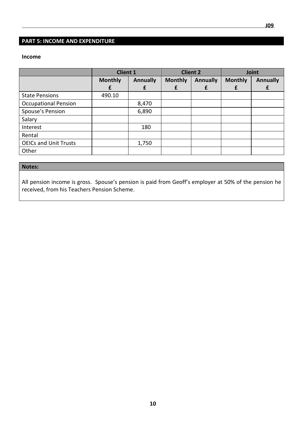## **PART 5: INCOME AND EXPENDITURE**

#### **Income**

|                              | <b>Client 1</b> |                 |                | <b>Client 2</b> | Joint          |                 |
|------------------------------|-----------------|-----------------|----------------|-----------------|----------------|-----------------|
|                              | <b>Monthly</b>  | <b>Annually</b> | <b>Monthly</b> | <b>Annually</b> | <b>Monthly</b> | <b>Annually</b> |
|                              | £               |                 |                |                 |                | £               |
| <b>State Pensions</b>        | 490.10          |                 |                |                 |                |                 |
| <b>Occupational Pension</b>  |                 | 8,470           |                |                 |                |                 |
| Spouse's Pension             |                 | 6,890           |                |                 |                |                 |
| Salary                       |                 |                 |                |                 |                |                 |
| Interest                     |                 | 180             |                |                 |                |                 |
| Rental                       |                 |                 |                |                 |                |                 |
| <b>OEICs and Unit Trusts</b> |                 | 1,750           |                |                 |                |                 |
| Other                        |                 |                 |                |                 |                |                 |

## **Notes:**

All pension income is gross. Spouse's pension is paid from Geoff's employer at 50% of the pension he received, from his Teachers Pension Scheme.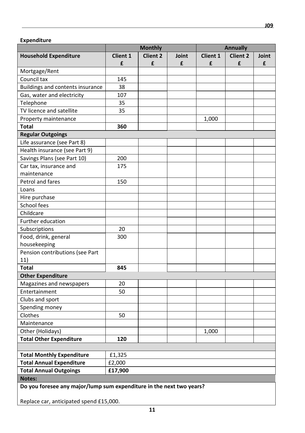|                                  | <b>Monthly</b>                                                       |                 |       | <b>Annually</b> |                 |       |
|----------------------------------|----------------------------------------------------------------------|-----------------|-------|-----------------|-----------------|-------|
| <b>Household Expenditure</b>     | Client 1                                                             | <b>Client 2</b> | Joint | <b>Client 1</b> | <b>Client 2</b> | Joint |
|                                  | £                                                                    | £               | £     | £               | £               | £     |
| Mortgage/Rent                    |                                                                      |                 |       |                 |                 |       |
| Council tax                      | 145                                                                  |                 |       |                 |                 |       |
| Buildings and contents insurance | 38                                                                   |                 |       |                 |                 |       |
| Gas, water and electricity       | 107                                                                  |                 |       |                 |                 |       |
| Telephone                        | 35                                                                   |                 |       |                 |                 |       |
| TV licence and satellite         | 35                                                                   |                 |       |                 |                 |       |
| Property maintenance             |                                                                      |                 |       | 1,000           |                 |       |
| <b>Total</b>                     | 360                                                                  |                 |       |                 |                 |       |
| <b>Regular Outgoings</b>         |                                                                      |                 |       |                 |                 |       |
| Life assurance (see Part 8)      |                                                                      |                 |       |                 |                 |       |
| Health insurance (see Part 9)    |                                                                      |                 |       |                 |                 |       |
| Savings Plans (see Part 10)      | 200                                                                  |                 |       |                 |                 |       |
| Car tax, insurance and           | 175                                                                  |                 |       |                 |                 |       |
| maintenance                      |                                                                      |                 |       |                 |                 |       |
| Petrol and fares                 | 150                                                                  |                 |       |                 |                 |       |
| Loans                            |                                                                      |                 |       |                 |                 |       |
| Hire purchase                    |                                                                      |                 |       |                 |                 |       |
| School fees                      |                                                                      |                 |       |                 |                 |       |
| Childcare                        |                                                                      |                 |       |                 |                 |       |
| Further education                |                                                                      |                 |       |                 |                 |       |
| Subscriptions                    | 20                                                                   |                 |       |                 |                 |       |
| Food, drink, general             | 300                                                                  |                 |       |                 |                 |       |
| housekeeping                     |                                                                      |                 |       |                 |                 |       |
| Pension contributions (see Part  |                                                                      |                 |       |                 |                 |       |
| 11)                              |                                                                      |                 |       |                 |                 |       |
| <b>Total</b>                     | 845                                                                  |                 |       |                 |                 |       |
| <b>Other Expenditure</b>         |                                                                      |                 |       |                 |                 |       |
| Magazines and newspapers         | 20                                                                   |                 |       |                 |                 |       |
| Entertainment                    | 50                                                                   |                 |       |                 |                 |       |
| Clubs and sport                  |                                                                      |                 |       |                 |                 |       |
| Spending money                   |                                                                      |                 |       |                 |                 |       |
| Clothes                          | 50                                                                   |                 |       |                 |                 |       |
| Maintenance                      |                                                                      |                 |       |                 |                 |       |
| Other (Holidays)                 |                                                                      |                 |       | 1,000           |                 |       |
| <b>Total Other Expenditure</b>   | 120                                                                  |                 |       |                 |                 |       |
|                                  |                                                                      |                 |       |                 |                 |       |
| <b>Total Monthly Expenditure</b> | £1,325                                                               |                 |       |                 |                 |       |
| <b>Total Annual Expenditure</b>  | £2,000                                                               |                 |       |                 |                 |       |
| <b>Total Annual Outgoings</b>    | £17,900                                                              |                 |       |                 |                 |       |
| Notes:                           |                                                                      |                 |       |                 |                 |       |
|                                  | Do you foresee any major/lump sum expenditure in the next two years? |                 |       |                 |                 |       |
|                                  |                                                                      |                 |       |                 |                 |       |

Replace car, anticipated spend £15,000.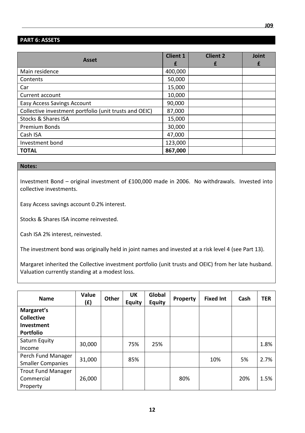## **PART 6: ASSETS**

| <b>Asset</b>                                           | <b>Client 1</b><br>£ | <b>Client 2</b><br>f | Joint<br>£ |
|--------------------------------------------------------|----------------------|----------------------|------------|
| Main residence                                         | 400,000              |                      |            |
| Contents                                               | 50,000               |                      |            |
| Car                                                    | 15,000               |                      |            |
| Current account                                        | 10,000               |                      |            |
| <b>Easy Access Savings Account</b>                     | 90,000               |                      |            |
| Collective investment portfolio (unit trusts and OEIC) | 87,000               |                      |            |
| <b>Stocks &amp; Shares ISA</b>                         | 15,000               |                      |            |
| <b>Premium Bonds</b>                                   | 30,000               |                      |            |
| Cash ISA                                               | 47,000               |                      |            |
| Investment bond                                        | 123,000              |                      |            |
| <b>TOTAL</b>                                           | 867,000              |                      |            |

#### **Notes:**

Investment Bond – original investment of £100,000 made in 2006. No withdrawals. Invested into collective investments.

Easy Access savings account 0.2% interest.

Stocks & Shares ISA income reinvested.

Cash ISA 2% interest, reinvested.

The investment bond was originally held in joint names and invested at a risk level 4 (see Part 13).

Margaret inherited the Collective investment portfolio (unit trusts and OEIC) from her late husband. Valuation currently standing at a modest loss.

| <b>Name</b>               | Value<br>(£) | Other | UK<br><b>Equity</b> | Global<br><b>Equity</b> | Property | <b>Fixed Int</b> | Cash | <b>TER</b> |
|---------------------------|--------------|-------|---------------------|-------------------------|----------|------------------|------|------------|
| Margaret's                |              |       |                     |                         |          |                  |      |            |
| <b>Collective</b>         |              |       |                     |                         |          |                  |      |            |
| Investment                |              |       |                     |                         |          |                  |      |            |
| <b>Portfolio</b>          |              |       |                     |                         |          |                  |      |            |
| Saturn Equity             | 30,000       |       | 75%                 | 25%                     |          |                  |      | 1.8%       |
| Income                    |              |       |                     |                         |          |                  |      |            |
| Perch Fund Manager        | 31,000       |       | 85%                 |                         |          | 10%              | 5%   | 2.7%       |
| <b>Smaller Companies</b>  |              |       |                     |                         |          |                  |      |            |
| <b>Trout Fund Manager</b> |              |       |                     |                         |          |                  |      |            |
| Commercial                | 26,000       |       |                     |                         | 80%      |                  | 20%  | 1.5%       |
| Property                  |              |       |                     |                         |          |                  |      |            |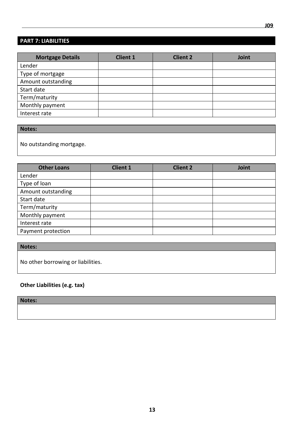## **PART 7: LIABILITIES**

| <b>Mortgage Details</b> | <b>Client 1</b> | <b>Client 2</b> | Joint |
|-------------------------|-----------------|-----------------|-------|
| Lender                  |                 |                 |       |
| Type of mortgage        |                 |                 |       |
| Amount outstanding      |                 |                 |       |
| Start date              |                 |                 |       |
| Term/maturity           |                 |                 |       |
| Monthly payment         |                 |                 |       |
| Interest rate           |                 |                 |       |

**Notes:**

No outstanding mortgage.

| <b>Other Loans</b> | <b>Client 1</b> | <b>Client 2</b> | Joint |
|--------------------|-----------------|-----------------|-------|
| Lender             |                 |                 |       |
| Type of loan       |                 |                 |       |
| Amount outstanding |                 |                 |       |
| Start date         |                 |                 |       |
| Term/maturity      |                 |                 |       |
| Monthly payment    |                 |                 |       |
| Interest rate      |                 |                 |       |
| Payment protection |                 |                 |       |

**Notes:**

No other borrowing or liabilities.

**Other Liabilities (e.g. tax)**

**Notes:**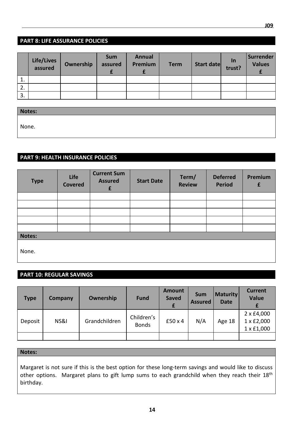|                  | Life/Lives<br>assured | Ownership | <b>Sum</b><br>assured | <b>Annual</b><br>Premium | <b>Term</b> | Start date ln | <b>Surrender</b><br><b>Values</b> |
|------------------|-----------------------|-----------|-----------------------|--------------------------|-------------|---------------|-----------------------------------|
| $\mathbf{1}$ .   |                       |           |                       |                          |             |               |                                   |
| $\overline{2}$ . |                       |           |                       |                          |             |               |                                   |
| 3.               |                       |           |                       |                          |             |               |                                   |

**Notes:** None.

## **PART 9: HEALTH INSURANCE POLICIES**

| <b>Type</b> | Life<br><b>Covered</b> | <b>Current Sum</b><br><b>Assured</b><br>£ | <b>Start Date</b> | Term/<br><b>Review</b> | <b>Deferred</b><br><b>Period</b> | Premium<br>£ |
|-------------|------------------------|-------------------------------------------|-------------------|------------------------|----------------------------------|--------------|
|             |                        |                                           |                   |                        |                                  |              |
|             |                        |                                           |                   |                        |                                  |              |
|             |                        |                                           |                   |                        |                                  |              |
|             |                        |                                           |                   |                        |                                  |              |
|             |                        |                                           |                   |                        |                                  |              |
| Notes:      |                        |                                           |                   |                        |                                  |              |
| None.       |                        |                                           |                   |                        |                                  |              |

## **PART 10: REGULAR SAVINGS**

| <b>Type</b> | <b>Company</b> | Ownership     | <b>Fund</b>                | <b>Amount</b><br><b>Saved</b> | <b>Sum</b><br><b>Assured</b> | <b>Maturity</b><br><b>Date</b> | <b>Current</b><br><b>Value</b>         |
|-------------|----------------|---------------|----------------------------|-------------------------------|------------------------------|--------------------------------|----------------------------------------|
| Deposit     | NS&I           | Grandchildren | Children's<br><b>Bonds</b> | $£50 \times 4$                | N/A                          | Age 18                         | 2 x £4,000<br>1 x £2,000<br>1 x £1,000 |
|             |                |               |                            |                               |                              |                                |                                        |

## **Notes:**

Margaret is not sure if this is the best option for these long-term savings and would like to discuss other options. Margaret plans to gift lump sums to each grandchild when they reach their 18<sup>th</sup> birthday.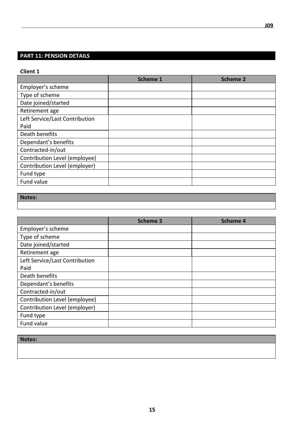## **PART 11: PENSION DETAILS**

#### **Client 1**

|                                | <b>Scheme 1</b> | <b>Scheme 2</b> |
|--------------------------------|-----------------|-----------------|
| Employer's scheme              |                 |                 |
| Type of scheme                 |                 |                 |
| Date joined/started            |                 |                 |
| Retirement age                 |                 |                 |
| Left Service/Last Contribution |                 |                 |
| Paid                           |                 |                 |
| Death benefits                 |                 |                 |
| Dependant's benefits           |                 |                 |
| Contracted-in/out              |                 |                 |
| Contribution Level (employee)  |                 |                 |
| Contribution Level (employer)  |                 |                 |
| Fund type                      |                 |                 |
| Fund value                     |                 |                 |

## **Notes:**

|                                | <b>Scheme 3</b> | <b>Scheme 4</b> |
|--------------------------------|-----------------|-----------------|
| Employer's scheme              |                 |                 |
| Type of scheme                 |                 |                 |
| Date joined/started            |                 |                 |
| Retirement age                 |                 |                 |
| Left Service/Last Contribution |                 |                 |
| Paid                           |                 |                 |
| Death benefits                 |                 |                 |
| Dependant's benefits           |                 |                 |
| Contracted-in/out              |                 |                 |
| Contribution Level (employee)  |                 |                 |
| Contribution Level (employer)  |                 |                 |
| Fund type                      |                 |                 |
| Fund value                     |                 |                 |

#### **Notes:**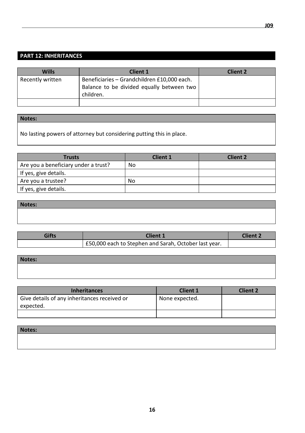## **PART 12: INHERITANCES**

| <b>Wills</b>     | <b>Client 1</b>                                                                          | <b>Client 2</b> |
|------------------|------------------------------------------------------------------------------------------|-----------------|
| Recently written | Beneficiaries - Grandchildren £10,000 each.<br>Balance to be divided equally between two |                 |
|                  | children.                                                                                |                 |
|                  |                                                                                          |                 |

## **Notes:**

No lasting powers of attorney but considering putting this in place.

| <b>Trusts</b>                        | <b>Client 1</b> | <b>Client 2</b> |
|--------------------------------------|-----------------|-----------------|
| Are you a beneficiary under a trust? | No              |                 |
| If yes, give details.                |                 |                 |
| Are you a trustee?                   | No              |                 |
| If yes, give details.                |                 |                 |

| Notes: |  |  |
|--------|--|--|
|        |  |  |
|        |  |  |

| Gifts | <b>Client 1</b>                                       | <b>Client 2</b> |
|-------|-------------------------------------------------------|-----------------|
|       | E50,000 each to Stephen and Sarah, October last year. |                 |

| Notes: |  |  |
|--------|--|--|
|        |  |  |
|        |  |  |

| <b>Inheritances</b>                                       | <b>Client 1</b> | <b>Client 2</b> |
|-----------------------------------------------------------|-----------------|-----------------|
| Give details of any inheritances received or<br>expected. | None expected.  |                 |
|                                                           |                 |                 |

| Notes: |  |  |
|--------|--|--|
|        |  |  |
|        |  |  |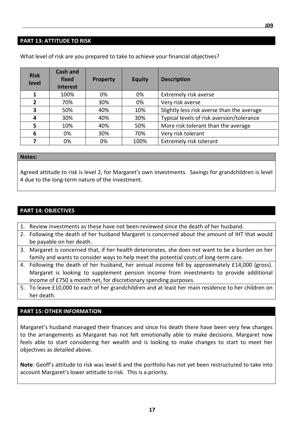#### **PART 13: ATTITUDE TO RISK**

| <b>Risk</b><br>level | <b>Cash and</b><br>fixed<br>interest | <b>Property</b> | <b>Equity</b> | <b>Description</b>                         |
|----------------------|--------------------------------------|-----------------|---------------|--------------------------------------------|
|                      | 100%                                 | 0%              | 0%            | Extremely risk averse                      |
| $\overline{2}$       | 70%                                  | 30%             | 0%            | Very risk averse                           |
| 3                    | 50%                                  | 40%             | 10%           | Slightly less risk averse than the average |
| 4                    | 30%                                  | 40%             | 30%           | Typical levels of risk aversion/tolerance  |
| 5                    | 10%                                  | 40%             | 50%           | More risk tolerant than the average        |
| 6                    | 0%                                   | 30%             | 70%           | Very risk tolerant                         |
|                      | 0%                                   | 0%              | 100%          | <b>Extremely risk tolerant</b>             |

What level of risk are you prepared to take to achieve your financial objectives?

#### **Notes:**

Agreed attitude to risk is level 2, for Margaret's own investments. Savings for grandchildren is level 4 due to the long-term nature of the investment.

## **PART 14: OBJECTIVES**

- 1. Review investments as these have not been reviewed since the death of her husband.
- 2. Following the death of her husband Margaret is concerned about the amount of IHT that would be payable on her death.
- 3. Margaret is concerned that, if her health deteriorates, she does not want to be a burden on her family and wants to consider ways to help meet the potential costs of long-term care.
- 4. Following the death of her husband, her annual income fell by approximately £14,000 (gross). Margaret is looking to supplement pension income from investments to provide additional income of £750 a month net, for discretionary spending purposes.
- 5. To leave £10,000 to each of her grandchildren and at least her main residence to her children on her death.

## **PART 15: OTHER INFORMATION**

Margaret's husband managed their finances and since his death there have been very few changes to the arrangements as Margaret has not felt emotionally able to make decisions. Margaret now feels able to start considering her wealth and is looking to make changes to start to meet her objectives as detailed above.

**Note**: Geoff's attitude to risk was level 6 and the portfolio has not yet been restructured to take into account Margaret's lower attitude to risk. This is a priority.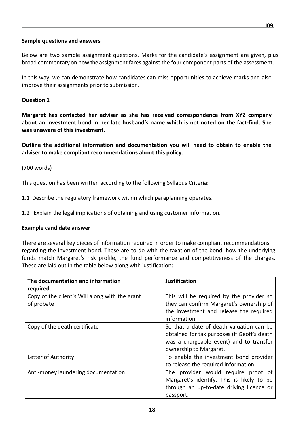#### **Sample questions and answers**

Below are two sample assignment questions. Marks for the candidate's assignment are given, plus broad commentary on how the assignment fares against the four component parts of the assessment.

In this way, we can demonstrate how candidates can miss opportunities to achieve marks and also improve their assignments prior to submission.

#### **Question 1**

**Margaret has contacted her adviser as she has received correspondence from XYZ company about an investment bond in her late husband's name which is not noted on the fact-find. She was unaware of this investment.** 

**Outline the additional information and documentation you will need to obtain to enable the adviser to make compliant recommendations about this policy.** 

#### (700 words)

This question has been written according to the following Syllabus Criteria:

- 1.1 Describe the regulatory framework within which paraplanning operates.
- 1.2 Explain the legal implications of obtaining and using customer information.

#### **Example candidate answer**

There are several key pieces of information required in order to make compliant recommendations regarding the investment bond. These are to do with the taxation of the bond, how the underlying funds match Margaret's risk profile, the fund performance and competitiveness of the charges. These are laid out in the table below along with justification:

| The documentation and information              | <b>Justification</b>                        |
|------------------------------------------------|---------------------------------------------|
| required.                                      |                                             |
| Copy of the client's Will along with the grant | This will be required by the provider so    |
| of probate                                     | they can confirm Margaret's ownership of    |
|                                                | the investment and release the required     |
|                                                | information.                                |
| Copy of the death certificate                  | So that a date of death valuation can be    |
|                                                | obtained for tax purposes (if Geoff's death |
|                                                | was a chargeable event) and to transfer     |
|                                                | ownership to Margaret.                      |
| Letter of Authority                            | To enable the investment bond provider      |
|                                                | to release the required information.        |
| Anti-money laundering documentation            | The provider would require proof of         |
|                                                | Margaret's identify. This is likely to be   |
|                                                | through an up-to-date driving licence or    |
|                                                | passport.                                   |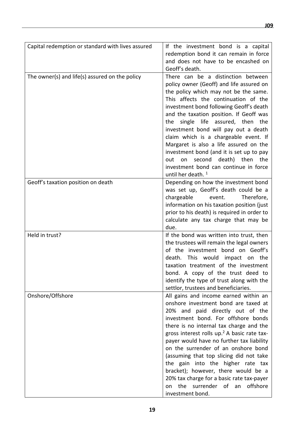| Capital redemption or standard with lives assured | If the investment bond is a capital<br>redemption bond it can remain in force<br>and does not have to be encashed on<br>Geoff's death.                                                                                                                                                                                                                                                                                                                                                                                                                                                      |
|---------------------------------------------------|---------------------------------------------------------------------------------------------------------------------------------------------------------------------------------------------------------------------------------------------------------------------------------------------------------------------------------------------------------------------------------------------------------------------------------------------------------------------------------------------------------------------------------------------------------------------------------------------|
| The owner(s) and life(s) assured on the policy    | There can be a distinction between<br>policy owner (Geoff) and life assured on<br>the policy which may not be the same.<br>This affects the continuation of the<br>investment bond following Geoff's death<br>and the taxation position. If Geoff was<br>single life assured, then the<br>the<br>investment bond will pay out a death<br>claim which is a chargeable event. If<br>Margaret is also a life assured on the<br>investment bond (and it is set up to pay<br>second<br>death) then<br>out<br>on<br>the<br>investment bond can continue in force<br>until her death. <sup>1</sup> |
| Geoff's taxation position on death                | Depending on how the investment bond<br>was set up, Geoff's death could be a<br>chargeable<br>event.<br>Therefore,<br>information on his taxation position (just<br>prior to his death) is required in order to<br>calculate any tax charge that may be<br>due.                                                                                                                                                                                                                                                                                                                             |
| Held in trust?                                    | If the bond was written into trust, then<br>the trustees will remain the legal owners<br>of the investment bond on Geoff's<br>death.<br>This would<br>impact<br>on<br>the<br>taxation treatment of the investment<br>bond. A copy of the trust deed to<br>identify the type of trust along with the<br>settlor, trustees and beneficiaries.                                                                                                                                                                                                                                                 |
| Onshore/Offshore                                  | All gains and income earned within an<br>onshore investment bond are taxed at<br>20% and paid directly out of the<br>investment bond. For offshore bonds<br>there is no internal tax charge and the<br>gross interest rolls up. <sup>2</sup> A basic rate tax-<br>payer would have no further tax liability<br>on the surrender of an onshore bond<br>(assuming that top slicing did not take<br>the gain into the higher rate tax<br>bracket); however, there would be a<br>20% tax charge for a basic rate tax-payer<br>the surrender of an<br>offshore<br>on<br>investment bond.         |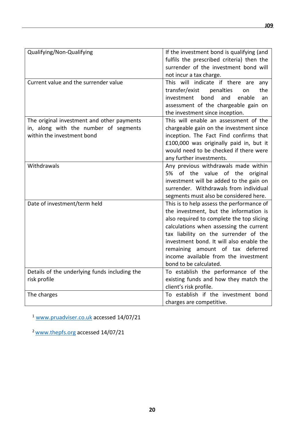| Qualifying/Non-Qualifying                                           | If the investment bond is qualifying (and<br>fulfils the prescribed criteria) then the<br>surrender of the investment bond will<br>not incur a tax charge.                                                                                                                                                                                                             |
|---------------------------------------------------------------------|------------------------------------------------------------------------------------------------------------------------------------------------------------------------------------------------------------------------------------------------------------------------------------------------------------------------------------------------------------------------|
| Current value and the surrender value                               | This will indicate if there are<br>any<br>transfer/exist<br>penalties<br>the<br>on<br>investment<br>bond<br>and<br>enable<br>an<br>assessment of the chargeable gain on<br>the investment since inception.                                                                                                                                                             |
| The original investment and other payments                          | This will enable an assessment of the                                                                                                                                                                                                                                                                                                                                  |
| in, along with the number of segments<br>within the investment bond | chargeable gain on the investment since<br>inception. The Fact Find confirms that<br>£100,000 was originally paid in, but it<br>would need to be checked if there were<br>any further investments.                                                                                                                                                                     |
| Withdrawals                                                         | Any previous withdrawals made within<br>5% of the value of the original<br>investment will be added to the gain on<br>surrender. Withdrawals from individual<br>segments must also be considered here.                                                                                                                                                                 |
| Date of investment/term held                                        | This is to help assess the performance of<br>the investment, but the information is<br>also required to complete the top slicing<br>calculations when assessing the current<br>tax liability on the surrender of the<br>investment bond. It will also enable the<br>remaining amount of tax deferred<br>income available from the investment<br>bond to be calculated. |
| Details of the underlying funds including the                       | To establish the performance of the                                                                                                                                                                                                                                                                                                                                    |
| risk profile                                                        | existing funds and how they match the<br>client's risk profile.                                                                                                                                                                                                                                                                                                        |
| The charges                                                         | To establish if the investment bond                                                                                                                                                                                                                                                                                                                                    |
|                                                                     | charges are competitive.                                                                                                                                                                                                                                                                                                                                               |

<sup>1</sup> [www.pruadviser.co.uk](http://www.pruadviser.co.uk/) accessed 14/07/21

<sup>2</sup> [www.thepfs.org](http://www.thepfs.org/) accessed 14/07/21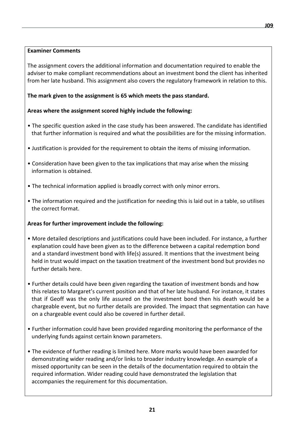#### **Examiner Comments**

The assignment covers the additional information and documentation required to enable the adviser to make compliant recommendations about an investment bond the client has inherited from her late husband. This assignment also covers the regulatory framework in relation to this.

#### **The mark given to the assignment is 65 which meets the pass standard.**

#### **Areas where the assignment scored highly include the following:**

- The specific question asked in the case study has been answered. The candidate has identified that further information is required and what the possibilities are for the missing information.
- Justification is provided for the requirement to obtain the items of missing information.
- Consideration have been given to the tax implications that may arise when the missing information is obtained.
- The technical information applied is broadly correct with only minor errors.
- The information required and the justification for needing this is laid out in a table, so utilises the correct format.

#### **Areas for further improvement include the following:**

- More detailed descriptions and justifications could have been included. For instance, a further explanation could have been given as to the difference between a capital redemption bond and a standard investment bond with life(s) assured. It mentions that the investment being held in trust would impact on the taxation treatment of the investment bond but provides no further details here.
- Further details could have been given regarding the taxation of investment bonds and how this relates to Margaret's current position and that of her late husband. For instance, it states that if Geoff was the only life assured on the investment bond then his death would be a chargeable event, but no further details are provided. The impact that segmentation can have on a chargeable event could also be covered in further detail.
- Further information could have been provided regarding monitoring the performance of the underlying funds against certain known parameters.
- The evidence of further reading is limited here. More marks would have been awarded for demonstrating wider reading and/or links to broader industry knowledge. An example of a missed opportunity can be seen in the details of the documentation required to obtain the required information. Wider reading could have demonstrated the legislation that accompanies the requirement for this documentation.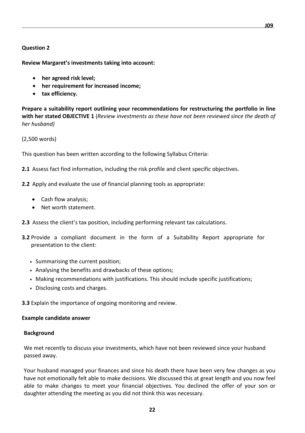#### **Question 2**

**Review Margaret's investments taking into account:**

- **her agreed risk level;**
- **her requirement for increased income;**
- **tax efficiency.**

**Prepare a suitability report outlining your recommendations for restructuring the portfolio in line with her stated OBJECTIVE 1** (*Review investments as these have not been reviewed since the death of her husband)*

(2,500 words)

This question has been written according to the following Syllabus Criteria:

**2.1** Assess fact find information, including the risk profile and client specific objectives.

- **2.2** Apply and evaluate the use of financial planning tools as appropriate:
	- Cash flow analysis;
	- Net worth statement.
- **2.3** Assess the client's tax position, including performing relevant tax calculations.
- **3.2** Provide a compliant document in the form of a Suitability Report appropriate for presentation to the client:
	- **•** Summarising the current position;
	- **•** Analysing the benefits and drawbacks of these options;
	- **•** Making recommendations with justifications. This should include specific justifications;
	- **•** Disclosing costs and charges.

**3.3** Explain the importance of ongoing monitoring and review.

#### **Example candidate answer**

#### **Background**

We met recently to discuss your investments, which have not been reviewed since your husband passed away.

Your husband managed your finances and since his death there have been very few changes as you have not emotionally felt able to make decisions. We discussed this at great length and you now feel able to make changes to meet your financial objectives. You declined the offer of your son or daughter attending the meeting as you did not think this was necessary.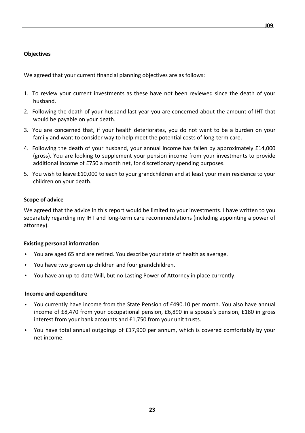## **Objectives**

We agreed that your current financial planning objectives are as follows:

- 1. To review your current investments as these have not been reviewed since the death of your husband.
- 2. Following the death of your husband last year you are concerned about the amount of IHT that would be payable on your death.
- 3. You are concerned that, if your health deteriorates, you do not want to be a burden on your family and want to consider way to help meet the potential costs of long-term care.
- 4. Following the death of your husband, your annual income has fallen by approximately £14,000 (gross). You are looking to supplement your pension income from your investments to provide additional income of £750 a month net, for discretionary spending purposes.
- 5. You wish to leave £10,000 to each to your grandchildren and at least your main residence to your children on your death.

## **Scope of advice**

We agreed that the advice in this report would be limited to your investments. I have written to you separately regarding my IHT and long-term care recommendations (including appointing a power of attorney).

## **Existing personal information**

- You are aged 65 and are retired. You describe your state of health as average.
- You have two grown up children and four grandchildren.
- You have an up-to-date Will, but no Lasting Power of Attorney in place currently.

## **Income and expenditure**

- You currently have income from the State Pension of £490.10 per month. You also have annual income of £8,470 from your occupational pension, £6,890 in a spouse's pension, £180 in gross interest from your bank accounts and £1,750 from your unit trusts.
- You have total annual outgoings of £17,900 per annum, which is covered comfortably by your net income.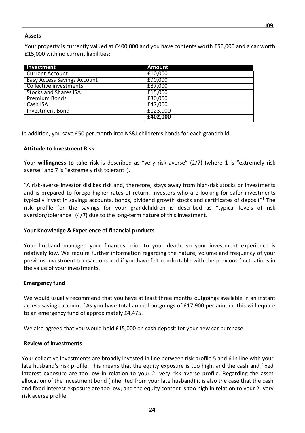#### **Assets**

Your property is currently valued at £400,000 and you have contents worth £50,000 and a car worth £15,000 with no current liabilities:

| Investment                         | <b>Amount</b> |
|------------------------------------|---------------|
| <b>Current Account</b>             | £10,000       |
| <b>Easy Access Savings Account</b> | £90,000       |
| Collective investments             | £87,000       |
| <b>Stocks and Shares ISA</b>       | £15,000       |
| <b>Premium Bonds</b>               | £30,000       |
| Cash ISA                           | £47,000       |
| <b>Investment Bond</b>             | £123,000      |
|                                    | £402,000      |

In addition, you save £50 per month into NS&I children's bonds for each grandchild.

#### **Attitude to Investment Risk**

Your **willingness to take risk** is described as "very risk averse" (2/7) (where 1 is "extremely risk averse" and 7 is "extremely risk tolerant").

"A risk-averse investor dislikes risk and, therefore, stays away from high-risk stocks or investments and is prepared to forego higher rates of return. Investors who are looking for safer investments typically invest in savings accounts, bonds, dividend growth stocks and certificates of deposit"1 The risk profile for the savings for your grandchildren is described as "typical levels of risk aversion/tolerance" (4/7) due to the long-term nature of this investment.

#### **Your Knowledge & Experience of financial products**

Your husband managed your finances prior to your death, so your investment experience is relatively low. We require further information regarding the nature, volume and frequency of your previous investment transactions and if you have felt comfortable with the previous fluctuations in the value of your investments.

#### **Emergency fund**

We would usually recommend that you have at least three months outgoings available in an instant access savings account.<sup>2</sup> As you have total annual outgoings of £17,900 per annum, this will equate to an emergency fund of approximately £4,475.

We also agreed that you would hold £15,000 on cash deposit for your new car purchase.

#### **Review of investments**

Your collective investments are broadly invested in line between risk profile 5 and 6 in line with your late husband's risk profile. This means that the equity exposure is too high, and the cash and fixed interest exposure are too low in relation to your 2- very risk averse profile. Regarding the asset allocation of the investment bond (inherited from your late husband) it is also the case that the cash and fixed interest exposure are too low, and the equity content is too high in relation to your 2- very risk averse profile.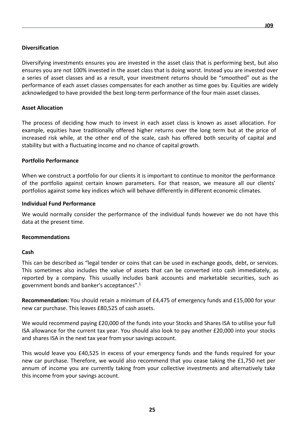Diversifying investments ensures you are invested in the asset class that is performing best, but also ensures you are not 100% invested in the asset class that is doing worst. Instead you are invested over a series of asset classes and as a result, your investment returns should be "smoothed" out as the performance of each asset classes compensates for each another as time goes by. Equities are widely acknowledged to have provided the best long-term performance of the four main asset classes.

#### **Asset Allocation**

The process of deciding how much to invest in each asset class is known as asset allocation. For example, equities have traditionally offered higher returns over the long term but at the price of increased risk while, at the other end of the scale, cash has offered both security of capital and stability but with a fluctuating income and no chance of capital growth.

#### **Portfolio Performance**

When we construct a portfolio for our clients it is important to continue to monitor the performance of the portfolio against certain known parameters. For that reason, we measure all our clients' portfolios against some key indices which will behave differently in different economic climates.

#### **Individual Fund Performance**

We would normally consider the performance of the individual funds however we do not have this data at the present time.

#### **Recommendations**

#### **Cash**

This can be described as "legal tender or coins that can be used in exchange goods, debt, or services. This sometimes also includes the value of assets that can be converted into cash immediately, as reported by a [company. T](http://www.investopedia.com/terms/c/cash.asp)his usually includes bank accounts and marketable securities, such as government bonds and banker's acceptances". 1

**Recommendation:** You should retain a minimum of £4,475 of emergency funds and £15,000 for your new car purchase. This leaves £80,525 of cash assets.

We would recommend paying £20,000 of the funds into your Stocks and Shares ISA to utilise your full ISA allowance for the current tax year. You should also look to pay another £20,000 into your stocks and shares ISA in the next tax year from your savings account.

This would leave you £40,525 in excess of your emergency funds and the funds required for your new car purchase. Therefore, we would also recommend that you cease taking the £1,750 net per annum of income you are currently taking from your collective investments and alternatively take this income from your savings account.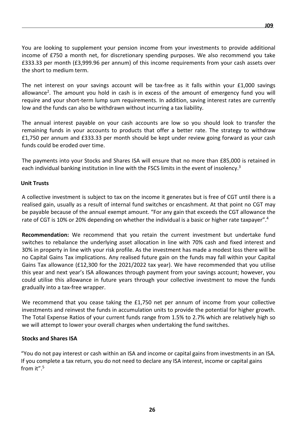You are looking to supplement your pension income from your investments to provide additional income of £750 a month net, for discretionary spending purposes. We also recommend you take £333.33 per month (£3,999.96 per annum) of this income requirements from your cash assets over the short to medium term.

The net interest on your savings account will be tax-free as it falls within your £1,000 savings allowance<sup>2</sup>. The amount you hold in cash is in excess of the amount of emergency fund you will require and your short-term lump sum requirements. In addition, saving interest rates are currently low and the funds can also be withdrawn without incurring a tax liability.

The annual interest payable on your cash accounts are low so you should look to transfer the remaining funds in your accounts to products that offer a better rate. The strategy to withdraw £1,750 per annum and £333.33 per month should be kept under review going forward as your cash funds could be eroded over time.

The payments into your Stocks and Shares ISA will ensure that no more than £85,000 is retained in each individual banking institution in line with the FSCS limits in the event of insolency.<sup>3</sup>

#### **Unit Trusts**

A collective investment is subject to tax on the income it generates but is free of CGT until there is a realised gain, usually as a result of internal fund switches or encashment. At that point no CGT may be payable because of the annual exempt amount. "For any gain that exceeds the CGT allowance the rate of CGT is 10% or 20% depending on whether the individual is a basic or higher rate taxpayer".<sup>4</sup>

**Recommendation:** We recommend that you retain the current investment but undertake fund switches to rebalance the underlying asset allocation in line with 70% cash and fixed interest and 30% in property in line with your risk profile. As the investment has made a modest loss there will be no Capital Gains Tax implications. Any realised future gain on the funds may fall within your Capital Gains Tax allowance (£12,300 for the 2021/2022 tax year). We have recommended that you utilise this year and next year's ISA allowances through payment from your savings account; however, you could utilise this allowance in future years through your collective investment to move the funds gradually into a tax-free wrapper.

We recommend that you cease taking the £1,750 net per annum of income from your collective investments and reinvest the funds in accumulation units to provide the potential for higher growth. The Total Expense Ratios of your current funds range from 1.5% to 2.7% which are relatively high so we will attempt to lower your overall charges when undertaking the fund switches.

#### **Stocks and Shares ISA**

"You do not pay interest or cash within an ISA and income or capital gains from investments in an ISA. If you complete a tax return, you do not need to declare any ISA interest, income or capital gains from it". 5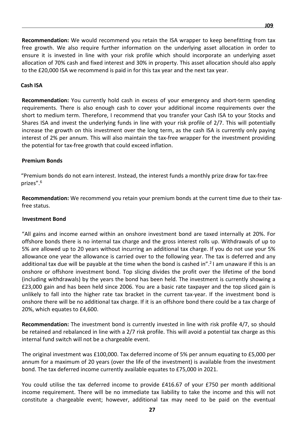**Recommendation:** We would recommend you retain the ISA wrapper to keep benefitting from tax free growth. We also require further information on the underlying asset allocation in order to ensure it is invested in line with your risk profile which should incorporate an underlying asset allocation of 70% cash and fixed interest and 30% in property. This asset allocation should also apply to the £20,000 ISA we recommend is paid in for this tax year and the next tax year.

#### **Cash ISA**

**Recommendation:** You currently hold cash in excess of your emergency and short-term spending requirements. There is also enough cash to cover your additional income requirements over the short to medium term. Therefore, I recommend that you transfer your Cash ISA to your Stocks and Shares ISA and invest the underlying funds in line with your risk profile of 2/7. This will potentially increase the growth on this investment over the long term, as the cash ISA is currently only paying interest of 2% per annum. This will also maintain the tax-free wrapper for the investment providing the potential for tax-free growth that could exceed inflation.

#### **Premium Bonds**

"Premium bonds do not earn interest. Instead, the interest funds a monthly prize draw for tax-free prizes". 6

**Recommendation:** We recommend you retain your premium bonds at the current time due to their taxfree status.

#### **Investment Bond**

"All gains and income earned within an onshore investment bond are taxed internally at 20%. For offshore bonds there is no internal tax charge and the gross interest rolls up. Withdrawals of up to 5% are allowed up to 20 years without incurring an additional tax charge. If you do not use your 5% allowance one year the allowance is carried over to the following year. The tax is deferred and any additional tax due will be payable at the time when the bond is cashed in".<sup>2</sup> I am unaware if this is an onshore or offshore investment bond. Top slicing divides the profit over the lifetime of the bond (including withdrawals) by the years the bond has been held. The investment is currently showing a £23,000 gain and has been held since 2006. You are a basic rate taxpayer and the top sliced gain is unlikely to fall into the higher rate tax bracket in the current tax-year. If the investment bond is onshore there will be no additional tax charge. If it is an offshore bond there could be a tax charge of 20%, which equates to £4,600.

**Recommendation:** The investment bond is currently invested in line with risk profile 4/7, so should be retained and rebalanced in line with a 2/7 risk profile. This will avoid a potential tax charge as this internal fund switch will not be a chargeable event.

The original investment was £100,000. Tax deferred income of 5% per annum equating to £5,000 per annum for a maximum of 20 years (over the life of the investment) is available from the investment bond. The tax deferred income currently available equates to £75,000 in 2021.

You could utilise the tax deferred income to provide £416.67 of your £750 per month additional income requirement. There will be no immediate tax liability to take the income and this will not constitute a chargeable event; however, additional tax may need to be paid on the eventual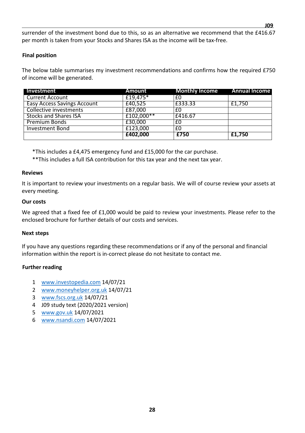surrender of the investment bond due to this, so as an alternative we recommend that the £416.67 per month is taken from your Stocks and Shares ISA as the income will be tax-free.

## **Final position**

The below table summarises my investment recommendations and confirms how the required £750 of income will be generated.

| Investment                         | Amount       | <b>Monthly Income</b> | <b>Annual Income</b> |
|------------------------------------|--------------|-----------------------|----------------------|
| <b>Current Account</b>             | £19,475 $*$  | £0                    |                      |
| <b>Easy Access Savings Account</b> | £40,525      | £333.33               | £1,750               |
| Collective investments             | £87,000      | £0                    |                      |
| <b>Stocks and Shares ISA</b>       | $£102,000**$ | £416.67               |                      |
| <b>Premium Bonds</b>               | £30,000      | £0                    |                      |
| <b>Investment Bond</b>             | £123,000     | £0                    |                      |
|                                    | £402,000     | £750                  | £1,750               |

\*This includes a £4,475 emergency fund and £15,000 for the car purchase.

\*\*This includes a full ISA contribution for this tax year and the next tax year.

#### **Reviews**

It is important to review your investments on a regular basis. We will of course review your assets at every meeting.

#### **Our costs**

We agreed that a fixed fee of £1,000 would be paid to review your investments. Please refer to the enclosed brochure for further details of our costs and services.

#### **Next steps**

If you have any questions regarding these recommendations or if any of the personal and financial information within the report is in-correct please do not hesitate to contact me.

#### **Further reading**

- 1 [www.investopedia.com](http://www.investopedia.com/) 14/07/21
- 2 [www.moneyhelper.org.uk](http://www.moneyhelper.org.uk/) 14/07/21
- 3 [www.fscs.org.uk](http://www.fscs.org.uk/) 14/07/21
- 4 J09 study text (2020/2021 version)
- 5 [www.gov.uk](http://www.gov.uk/) 14/07/2021
- 6 [www.nsandi.com](http://www.nsandi.com/) 14/07/2021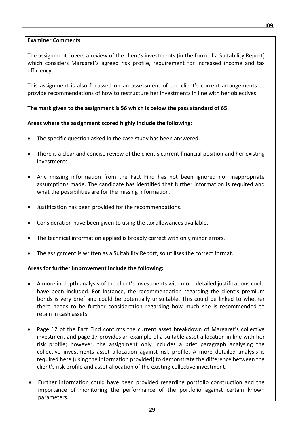The assignment covers a review of the client's investments (in the form of a Suitability Report) which considers Margaret's agreed risk profile, requirement for increased income and tax efficiency.

This assignment is also focussed on an assessment of the client's current arrangements to provide recommendations of how to restructure her investments in line with her objectives.

## **The mark given to the assignment is 56 which is below the pass standard of 65.**

## **Areas where the assignment scored highly include the following:**

- The specific question asked in the case study has been answered.
- There is a clear and concise review of the client's current financial position and her existing investments.
- Any missing information from the Fact Find has not been ignored nor inappropriate assumptions made. The candidate has identified that further information is required and what the possibilities are for the missing information.
- Justification has been provided for the recommendations.
- Consideration have been given to using the tax allowances available.
- The technical information applied is broadly correct with only minor errors.
- The assignment is written as a Suitability Report, so utilises the correct format.

## **Areas for further improvement include the following:**

- A more in-depth analysis of the client's investments with more detailed justifications could have been included. For instance, the recommendation regarding the client's premium bonds is very brief and could be potentially unsuitable. This could be linked to whether there needs to be further consideration regarding how much she is recommended to retain in cash assets.
- Page 12 of the Fact Find confirms the current asset breakdown of Margaret's collective investment and page 17 provides an example of a suitable asset allocation in line with her risk profile; however, the assignment only includes a brief paragraph analysing the collective investments asset allocation against risk profile. A more detailed analysis is required here (using the information provided) to demonstrate the difference between the client's risk profile and asset allocation of the existing collective investment.
- Further information could have been provided regarding portfolio construction and the importance of monitoring the performance of the portfolio against certain known parameters.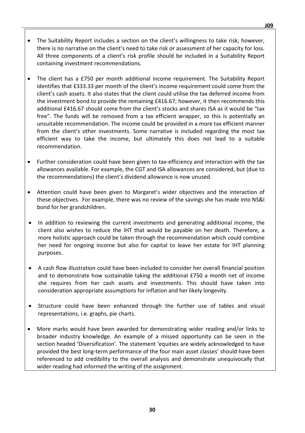- The Suitability Report includes a section on the client's willingness to take risk; however, there is no narrative on the client's need to take risk or assessment of her capacity for loss. All three components of a client's risk profile should be included in a Suitability Report containing investment recommendations.
- The client has a £750 per month additional income requirement. The Suitability Report identifies that £333.33 per month of the client's income requirement could come from the client's cash assets. It also states that the client could utilise the tax deferred income from the investment bond to provide the remaining £416.67; however, it then recommends this additional £416.67 should come from the client's stocks and shares ISA as it would be "tax free". The funds will be removed from a tax efficient wrapper, so this is potentially an unsuitable recommendation. The income could be provided in a more tax efficient manner from the client's other investments. Some narrative is included regarding the most tax efficient way to take the income, but ultimately this does not lead to a suitable recommendation.
- Further consideration could have been given to tax-efficiency and interaction with the tax allowances available. For example, the CGT and ISA allowances are considered, but (due to the recommendations) the client's dividend allowance is now unused.
- Attention could have been given to Margaret's wider objectives and the interaction of these objectives. For example, there was no review of the savings she has made into NS&I bond for her grandchildren.
- In addition to reviewing the current investments and generating additional income, the client also wishes to reduce the IHT that would be payable on her death. Therefore, a more holistic approach could be taken through the recommendation which could combine her need for ongoing income but also for capital to leave her estate for IHT planning purposes.
- A cash flow illustration could have been included to consider her overall financial position and to demonstrate how sustainable taking the additional £750 a month net of income she requires from her cash assets and investments. This should have taken into consideration appropriate assumptions for inflation and her likely longevity.
- Structure could have been enhanced through the further use of tables and visual representations, i.e. graphs, pie charts.
- More marks would have been awarded for demonstrating wider reading and/or links to broader industry knowledge. An example of a missed opportunity can be seen in the section headed 'Diversification'. The statement 'equities are widely acknowledged to have provided the best long-term performance of the four main asset classes' should have been referenced to add credibility to the overall analysis and demonstrate unequivocally that wider reading had informed the writing of the assignment.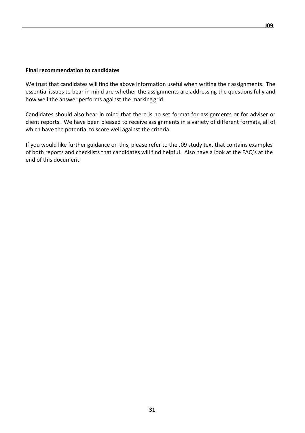#### **Final recommendation to candidates**

We trust that candidates will find the above information useful when writing their assignments. The essential issues to bear in mind are whether the assignments are addressing the questions fully and how well the answer performs against the marking grid.

Candidates should also bear in mind that there is no set format for assignments or for adviser or client reports. We have been pleased to receive assignments in a variety of different formats, all of which have the potential to score well against the criteria.

If you would like further guidance on this, please refer to the J09 study text that contains examples of both reports and checklists that candidates will find helpful. Also have a look at the FAQ's at the end of this document.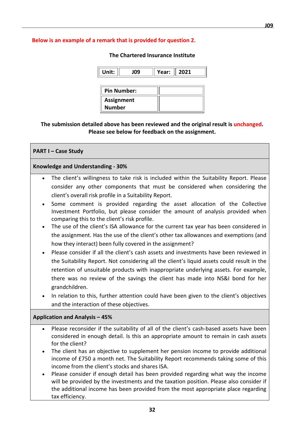#### **Below is an example of a remark that is provided for question 2.**

**The Chartered Insurance Institute**

| Unit:              | J09 | Year: | 2021 |
|--------------------|-----|-------|------|
|                    |     |       |      |
| <b>Pin Number:</b> |     |       |      |
| <b>Assignment</b>  |     |       |      |
| <b>Number</b>      |     |       |      |

**The submission detailed above has been reviewed and the original result is unchanged. Please see below for feedback on the assignment.**

## **PART I – Case Study**

#### **Knowledge and Understanding - 30%**

- The client's willingness to take risk is included within the Suitability Report. Please consider any other components that must be considered when considering the client's overall risk profile in a Suitability Report.
- Some comment is provided regarding the asset allocation of the Collective Investment Portfolio, but please consider the amount of analysis provided when comparing this to the client's risk profile.
- The use of the client's ISA allowance for the current tax year has been considered in the assignment. Has the use of the client's other tax allowances and exemptions (and how they interact) been fully covered in the assignment?
- Please consider if all the client's cash assets and investments have been reviewed in the Suitability Report. Not considering all the client's liquid assets could result in the retention of unsuitable products with inappropriate underlying assets. For example, there was no review of the savings the client has made into NS&I bond for her grandchildren.
- In relation to this, further attention could have been given to the client's objectives and the interaction of these objectives.

#### **Application and Analysis – 45%**

- Please reconsider if the suitability of all of the client's cash-based assets have been considered in enough detail. Is this an appropriate amount to remain in cash assets for the client?
- The client has an objective to supplement her pension income to provide additional income of £750 a month net. The Suitability Report recommends taking some of this income from the client's stocks and shares ISA.
- Please consider if enough detail has been provided regarding what way the income will be provided by the investments and the taxation position. Please also consider if the additional income has been provided from the most appropriate place regarding tax efficiency.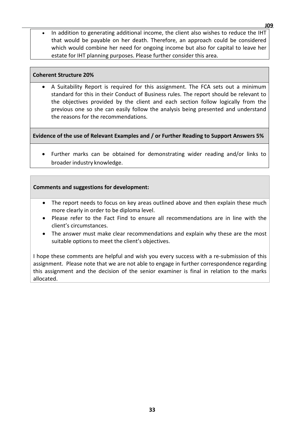In addition to generating additional income, the client also wishes to reduce the IHT that would be payable on her death. Therefore, an approach could be considered which would combine her need for ongoing income but also for capital to leave her estate for IHT planning purposes. Please further consider this area.

#### **Coherent Structure 20%**

• A Suitability Report is required for this assignment. The FCA sets out a minimum standard for this in their Conduct of Business rules. The report should be relevant to the objectives provided by the client and each section follow logically from the previous one so she can easily follow the analysis being presented and understand the reasons for the recommendations.

**Evidence of the use of Relevant Examples and / or Further Reading to Support Answers 5%**

• Further marks can be obtained for demonstrating wider reading and/or links to broader industry knowledge.

## **Comments and suggestions for development:**

- The report needs to focus on key areas outlined above and then explain these much more clearly in order to be diploma level.
- Please refer to the Fact Find to ensure all recommendations are in line with the client's circumstances.
- The answer must make clear recommendations and explain why these are the most suitable options to meet the client's objectives.

I hope these comments are helpful and wish you every success with a re-submission of this assignment. Please note that we are not able to engage in further correspondence regarding this assignment and the decision of the senior examiner is final in relation to the marks allocated.